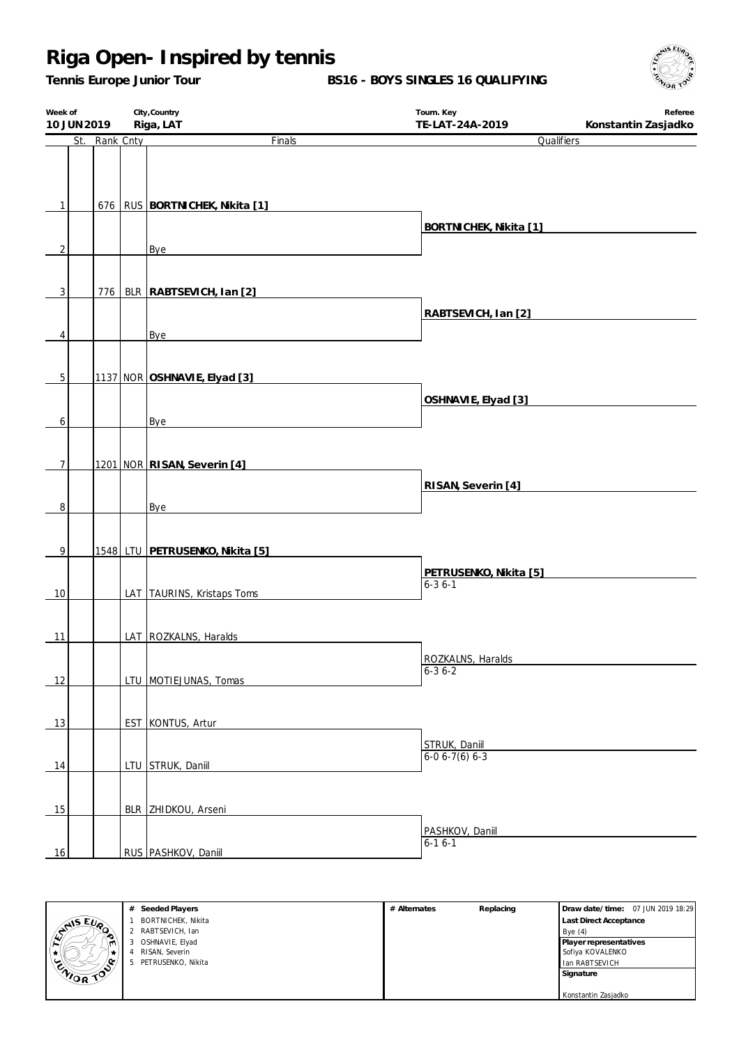*Tennis Europe Junior Tour*

**BS16 - BOYS SINGLES 16 QUALIFYING**



| Week of<br>10 JUN 2019 |               | City, Country<br>Riga, LAT          | Tourn. Key<br>TE-LAT-24A-2019     | Referee<br>Konstantin Zasjadko |  |
|------------------------|---------------|-------------------------------------|-----------------------------------|--------------------------------|--|
|                        | St. Rank Cnty | Finals                              | Qualifiers                        |                                |  |
|                        |               |                                     |                                   |                                |  |
| 1                      |               | 676   RUS   BORTNI CHEK, Nikita [1] |                                   |                                |  |
|                        |               |                                     | BORTNICHEK, Nikita [1]            |                                |  |
| $\overline{2}$         |               | Bye                                 |                                   |                                |  |
| $\overline{3}$         | 776           | BLR RABTSEVICH, Ian [2]             |                                   |                                |  |
|                        |               |                                     | RABTSEVICH, Ian [2]               |                                |  |
| 4                      |               | Bye                                 |                                   |                                |  |
|                        |               |                                     |                                   |                                |  |
|                        |               |                                     |                                   |                                |  |
| $\mathbf 5$            |               | 1137 NOR OSHNAVIE, Elyad [3]        |                                   |                                |  |
|                        |               |                                     | OSHNAVIE, Elyad [3]               |                                |  |
| 6                      |               | Bye                                 |                                   |                                |  |
|                        |               |                                     |                                   |                                |  |
| $\overline{7}$         |               | 1201 NOR RISAN, Severin [4]         |                                   |                                |  |
|                        |               |                                     | RISAN, Severin [4]                |                                |  |
| 8                      |               | Bye                                 |                                   |                                |  |
|                        |               |                                     |                                   |                                |  |
|                        |               |                                     |                                   |                                |  |
| 9                      |               | 1548 LTU PETRUSENKO, Nikita [5]     |                                   |                                |  |
|                        |               |                                     | PETRUSENKO, Nikita [5]            |                                |  |
| 10                     |               | LAT TAURINS, Kristaps Toms          | $6 - 36 - 1$                      |                                |  |
|                        |               |                                     |                                   |                                |  |
| 11                     |               | LAT ROZKALNS, Haralds               |                                   |                                |  |
|                        |               |                                     |                                   |                                |  |
|                        |               |                                     | ROZKALNS, Haralds<br>$6 - 36 - 2$ |                                |  |
| 12                     |               | LTU MOTIEJUNAS, Tomas               |                                   |                                |  |
|                        |               |                                     |                                   |                                |  |
| 13                     |               | EST KONTUS, Artur                   |                                   |                                |  |
|                        |               |                                     | STRUK, Daniil<br>6-0 6-7(6) 6-3   |                                |  |
| 14                     |               | LTU STRUK, Daniil                   |                                   |                                |  |
|                        |               |                                     |                                   |                                |  |
|                        |               |                                     |                                   |                                |  |
| 15                     |               | BLR ZHIDKOU, Arseni                 |                                   |                                |  |
|                        |               |                                     | PASHKOV, Daniil<br>$6 - 16 - 1$   |                                |  |
| 16                     |               | RUS PASHKOV, Daniil                 |                                   |                                |  |



**# Seeded Players** 1 BORTNICHEK, Nikita 2 RABTSEVICH, Ian 3 OSHNAVIE, Elyad 4 RISAN, Severin 5 PETRUSENKO, Nikita **# Alternates Replacing Draw date/time:** 07 JUN 2019 18:29 **Last Direct Acceptance** Bye (4) **Player representatives** Sofiya KOVALENKO Ian RABTSEVICH **Signature** Konstantin Zasjadko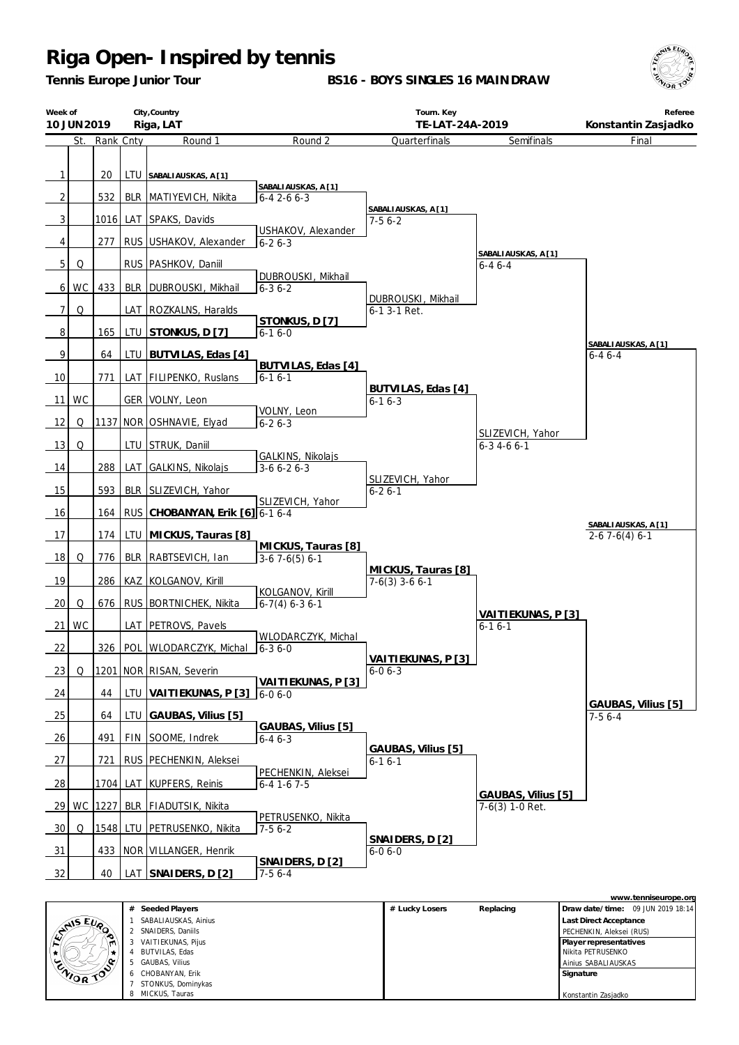*Tennis Europe Junior Tour*

**BS16 - BOYS SINGLES 16 MAINDRAW**



|                     | Week of<br>City, Country<br>Riga, LAT<br>10 JUN 2019 |           |            |                                                            |                                                  | Tourn. Key<br>TE-LAT-24A-2019          |                                         | Referee<br>Konstantin Zasjadko        |
|---------------------|------------------------------------------------------|-----------|------------|------------------------------------------------------------|--------------------------------------------------|----------------------------------------|-----------------------------------------|---------------------------------------|
|                     | St.                                                  | Rank Cnty |            | Round 1                                                    | Round 2                                          | Quarterfinals                          | Semifinals                              | Final                                 |
| 1<br>$\overline{2}$ |                                                      | 20<br>532 |            | LTU SABALIAUSKAS, A [1]<br><b>BLR   MATIYEVICH, Nikita</b> | SABALIAUSKAS, A [1]<br>$6 - 42 - 66 - 3$         |                                        |                                         |                                       |
| 3                   |                                                      |           |            | 1016 LAT SPAKS, Davids                                     |                                                  | SABALIAUSKAS, A [1]<br>$7-56-2$        |                                         |                                       |
| 4                   |                                                      | 277       |            | RUS USHAKOV, Alexander                                     | USHAKOV, Alexander<br>$6 - 26 - 3$               |                                        |                                         |                                       |
| 5 <sup>1</sup>      | Q                                                    |           |            | RUS   PASHKOV, Daniil                                      |                                                  |                                        | SABALIAUSKAS, A [1]                     |                                       |
| $6 \mid$            | WC                                                   | 433       |            | BLR   DUBROUSKI, Mikhail                                   | DUBROUSKI, Mikhail<br>$6 - 36 - 2$               |                                        | $6 - 46 - 4$                            |                                       |
| 7                   | Q                                                    |           |            | LAT   ROZKALNS, Haralds                                    |                                                  | DUBROUSKI, Mikhail<br>6-1 3-1 Ret.     |                                         |                                       |
| 8                   |                                                      | 165       |            | LTU STONKUS, D [7]                                         | STONKUS, D [7]<br>$6 - 16 - 0$                   |                                        |                                         |                                       |
| 9                   |                                                      | 64        |            | LTU BUTVILAS, Edas [4]                                     |                                                  |                                        |                                         | SABALIAUSKAS, A [1]<br>$6 - 46 - 4$   |
| 10                  |                                                      | 771       |            | LAT   FILIPENKO, Ruslans                                   | BUTVILAS, Edas [4]<br>$6 - 16 - 1$               |                                        |                                         |                                       |
| 11                  | <b>WC</b>                                            |           |            | GER   VOLNY, Leon                                          |                                                  | BUTVILAS, Edas [4]<br>$6 - 16 - 3$     |                                         |                                       |
| 12                  | Q                                                    |           |            | 1137   NOR   OSHNAVIE, Elyad                               | VOLNY, Leon<br>$6 - 26 - 3$                      |                                        |                                         |                                       |
| 13                  | Q                                                    |           |            | LTU STRUK, Daniil                                          |                                                  |                                        | SLIZEVICH, Yahor<br>$6 - 3$ 4 - 6 6 - 1 |                                       |
| 14                  |                                                      | 288       |            | LAT GALKINS, Nikolajs                                      | GALKINS, Nikolajs<br>$3-66-26-3$                 |                                        |                                         |                                       |
| 15                  |                                                      | 593       |            | BLR   SLIZEVICH, Yahor                                     |                                                  | SLIZEVICH, Yahor<br>$6 - 26 - 1$       |                                         |                                       |
| 16                  |                                                      | 164       |            | RUS CHOBANYAN, Erik [6] 6-1 6-4                            | SLIZEVICH, Yahor                                 |                                        |                                         |                                       |
| 17                  |                                                      | 174       |            | LTU   MICKUS, Tauras [8]                                   |                                                  |                                        |                                         | SABALIAUSKAS, A [1]<br>$2-67-6(4)6-1$ |
| 18                  | Q                                                    | 776       |            | BLR   RABTSEVICH, Ian                                      | MICKUS, Tauras [8]<br>$\overline{3.67.6(5)}$ 6-1 |                                        |                                         |                                       |
| 19                  |                                                      | 286       |            | KAZ KOLGANOV, Kirill                                       |                                                  | MICKUS, Tauras [8]<br>$7-6(3)$ 3-6 6-1 |                                         |                                       |
| 20                  | Q                                                    | 676       |            | RUS BORTNICHEK, Nikita                                     | KOLGANOV, Kirill<br>$6-7(4) 6-36-1$              |                                        |                                         |                                       |
| 21                  | WC                                                   |           |            | LAT   PETROVS, Pavels                                      |                                                  |                                        | VAITIEKUNAS, P [3]<br>$6 - 16 - 1$      |                                       |
| 22                  |                                                      | 326       |            | POL WLODARCZYK, Michal                                     | WLODARCZYK, Michal<br>$6 - 36 - 0$               |                                        |                                         |                                       |
| 23                  | Q                                                    |           |            | 1201 NOR RISAN, Severin                                    |                                                  | VAITIEKUNAS, P[3]<br>$6 - 06 - 3$      |                                         |                                       |
| 24                  |                                                      | 44        | <b>LTU</b> | VAITIEKUNAS, P [3]                                         | VAITIEKUNAS, P [3]<br>$6 - 06 - 0$               |                                        |                                         |                                       |
| 25                  |                                                      | 64        | LTU        | GAUBAS, Vilius [5]                                         |                                                  |                                        |                                         | GAUBAS, Vilius [5]<br>$7-56-4$        |
| 26                  |                                                      | 491       |            | FIN SOOME, Indrek                                          | GAUBAS, Vilius [5]<br>$6 - 46 - 3$               |                                        |                                         |                                       |
| 27                  |                                                      | 721       |            | RUS   PECHENKIN, Aleksei                                   |                                                  | GAUBAS, Vilius [5]<br>$6 - 16 - 1$     |                                         |                                       |
| 28                  |                                                      |           |            | 1704 LAT KUPFERS, Reinis                                   | PECHENKIN, Aleksei<br>$6 - 4$ 1 - 6 7 - 5        |                                        |                                         |                                       |
|                     |                                                      |           |            | 29 WC 1227 BLR FIADUTSIK, Nikita                           |                                                  |                                        | GAUBAS, Vilius [5]<br>7-6(3) 1-0 Ret.   |                                       |
| 30 <sup>1</sup>     | Q                                                    |           |            | 1548 LTU PETRUSENKO, Nikita                                | PETRUSENKO, Nikita<br>$7-56-2$                   | SNAIDERS, D [2]                        |                                         |                                       |
| 31                  |                                                      |           |            | 433   NOR   VILLANGER, Henrik                              |                                                  | $6 - 06 - 0$                           |                                         |                                       |
| 32                  |                                                      | 40        |            | LAT SNAIDERS, D [2]                                        | SNAIDERS, D [2]<br>$7-56-4$                      |                                        |                                         |                                       |

|                  |    |                      |                |           | www.tenniseurope.org              |
|------------------|----|----------------------|----------------|-----------|-----------------------------------|
|                  | #  | Seeded Players       | # Lucky Losers | Replacing | Draw date/time: 09 JUN 2019 18:14 |
|                  |    | SABALIAUSKAS, Ainius |                |           | Last Direct Acceptance            |
| $1/2$ $(1/2)$    |    | SNAIDERS, Daniils    |                |           | PECHENKIN, Aleksei (RUS)          |
| IM.              | 3  | VAITIEKUNAS, Pijus   |                |           | Player representatives            |
|                  |    | BUTVILAS, Edas       |                |           | Nikita PETRUSENKO                 |
|                  | 5. | GAUBAS, Vilius       |                |           | Ainius SABALIAUSKAS               |
| <b>ENIOR TOP</b> |    | 6 CHOBANYAN, Erik    |                |           | Signature                         |
|                  |    | STONKUS, Dominykas   |                |           |                                   |
|                  | 8  | MICKUS, Tauras       |                |           | Konstantin Zasjadko               |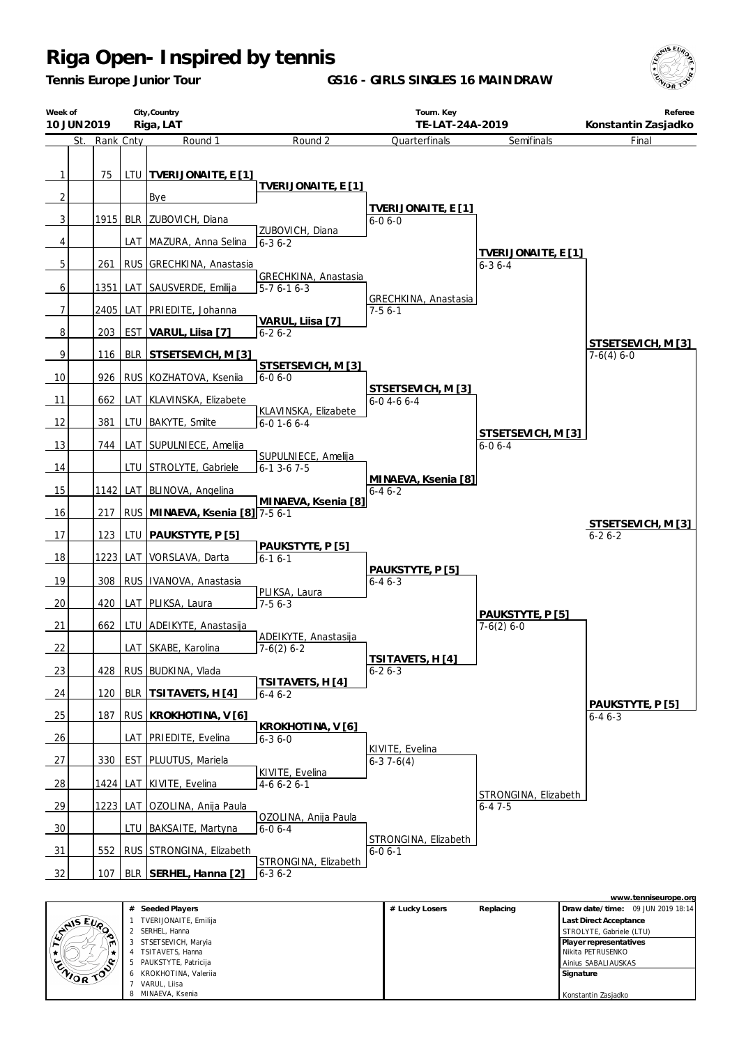*Tennis Europe Junior Tour*

**GS16 - GIRLS SINGLES 16 MAINDRAW**



| Week of                        | City, Country<br>Riga, LAT<br>10 JUN 2019 |            |                                 | Tourn. Key<br>TE-LAT-24A-2019        |                                      | Referee<br>Konstantin Zasjadko      |                    |
|--------------------------------|-------------------------------------------|------------|---------------------------------|--------------------------------------|--------------------------------------|-------------------------------------|--------------------|
| St.                            | Rank Cnty                                 |            | Round 1                         | Round <sub>2</sub>                   | Quarterfinals                        | Semifinals                          | Final              |
| $\mathbf{1}$<br>$\overline{2}$ | 75                                        | ltu        | TVERIJONAITE, E [1]<br>Bye      | TVERIJONAITE, E [1]                  |                                      |                                     |                    |
| 3                              | $1915$ BLR                                |            | ZUBOVICH, Diana                 |                                      | TVERIJONAITE, E [1]<br>$6 - 06 - 0$  |                                     |                    |
| 4                              |                                           |            | LAT   MAZURA, Anna Selina       | ZUBOVICH, Diana<br>$6 - 36 - 2$      |                                      |                                     |                    |
| 5                              | 261                                       | <b>RUS</b> | GRECHKINA, Anastasia            |                                      |                                      | TVERIJONAITE, E [1]<br>$6 - 36 - 4$ |                    |
| 6                              | 1351                                      | LAT        | SAUSVERDE, Emilija              | GRECHKINA, Anastasia<br>$5-76-16-3$  | GRECHKINA, Anastasia                 |                                     |                    |
| 7                              |                                           | 2405   LAT | PRIEDITE, Johanna               |                                      | $7-56-1$                             |                                     |                    |
| 8                              | 203                                       | <b>EST</b> | VARUL, Liisa [7]                | VARUL, Liisa [7]<br>$6 - 26 - 2$     |                                      |                                     | STSETSEVICH, M [3] |
| 9                              | 116                                       | <b>BLR</b> | STSETSEVICH, M [3]              |                                      |                                      |                                     | $7-6(4) 6-0$       |
| 10                             | 926                                       |            | RUS KOZHATOVA, Ksenija          | STSETSEVICH, M [3]<br>$6 - 06 - 0$   | STSETSEVICH, M [3]                   |                                     |                    |
| 11                             | 662                                       |            | LAT KLAVINSKA, Elizabete        | KLAVINSKA, Elizabete                 | $6 - 0$ 4 - 6 6 - 4                  |                                     |                    |
| 12                             | 381                                       |            | LTU   BAKYTE, Smilte            | $6 - 01 - 66 - 4$                    |                                      | STSETSEVICH, M [3]                  |                    |
| 13                             | 744                                       |            | LAT SUPULNIECE, Amelija         | SUPULNIECE, Amelija                  |                                      | $6 - 06 - 4$                        |                    |
| 14                             |                                           |            | LTU STROLYTE, Gabriele          | $6 - 13 - 67 - 5$                    |                                      |                                     |                    |
| 15                             | 11421                                     |            | LAT BLINOVA, Angelina           | MINAEVA, Ksenia [8]                  | MINAEVA, Ksenia [8]<br>$6 - 46 - 2$  |                                     |                    |
| 16                             | 217                                       |            | RUS MINAEVA, Ksenia [8] 7-5 6-1 |                                      |                                      |                                     | STSETSEVICH, M [3] |
| 17                             | 123                                       | LTU        | <u> PAUKSTYTE, P [5]</u>        |                                      |                                      |                                     | $6 - 26 - 2$       |
| 18                             | 12231                                     | LAT        | VORSLAVA, Darta                 | PAUKSTYTE, P [5]<br>$6 - 16 - 1$     | PAUKSTYTE, P [5]                     |                                     |                    |
| 19                             | 308                                       | <b>RUS</b> | IVANOVA, Anastasia              |                                      | $6 - 46 - 3$                         |                                     |                    |
| 20                             | 420                                       |            | LAT   PLIKSA, Laura             | PLIKSA, Laura<br>$7-56-3$            |                                      | PAUKSTYTE, P [5]                    |                    |
| 21                             | 662                                       | LTU        | ADEIKYTE, Anastasija            |                                      |                                      | $7-6(2) 6-0$                        |                    |
| 22                             |                                           |            | LAT SKABE, Karolina             | ADEIKYTE, Anastasija<br>$7-6(2)$ 6-2 | TSITAVETS, H [4]                     |                                     |                    |
| 23                             | 428                                       |            | RUS BUDKINA, Vlada              | TSITAVETS, H [4]                     | $6 - 26 - 3$                         |                                     |                    |
| 24                             | 120                                       | <b>BLR</b> | TSITAVETS, H [4]                | $6 - 46 - 2$                         |                                      |                                     | PAUKSTYTE, P [5]   |
| 25                             | 187                                       |            | RUS   KROKHOTINA, V [6]         |                                      |                                      |                                     | $6 - 46 - 3$       |
| 26                             |                                           | LAT        | <b>PRIEDITE, Evelina</b>        | KROKHOTINA, V[6]<br>$6 - 36 - 0$     | KIVITE, Evelina                      |                                     |                    |
| 27                             | 330                                       | EST        | PLUUTUS, Mariela                |                                      | $6-37-6(4)$                          |                                     |                    |
| 28                             | 1424                                      |            | LAT KIVITE, Evelina             | KIVITE, Evelina<br>$4-66-26-1$       |                                      | STRONGINA, Elizabeth                |                    |
| 29                             |                                           |            | 1223 LAT OZOLINA, Anija Paula   |                                      |                                      | $6 - 47 - 5$                        |                    |
| 30                             |                                           |            | LTU BAKSAITE, Martyna           | OZOLINA, Anija Paula<br>$6 - 06 - 4$ |                                      |                                     |                    |
| 31                             | 552                                       |            | RUS STRONGINA, Elizabeth        | STRONGINA, Elizabeth                 | STRONGINA, Elizabeth<br>$6 - 06 - 1$ |                                     |                    |
| 32                             | 107                                       |            | BLR SERHEL, Hanna [2]           | $6 - 36 - 2$                         |                                      |                                     |                    |

|          |   |                        |                |           | www.tenniseurope.org              |
|----------|---|------------------------|----------------|-----------|-----------------------------------|
|          | # | Seeded Players         | # Lucky Losers | Replacing | Draw date/time: 09 JUN 2019 18:14 |
|          |   | TVERIJONAITE, Emilija  |                |           | Last Direct Acceptance            |
| LANS EVA | 2 | SERHEL, Hanna          |                |           | STROLYTE, Gabriele (LTU)          |
| m        |   | STSETSEVICH, Maryia    |                |           | Player representatives            |
|          | 4 | TSITAVETS, Hanna       |                |           | Nikita PETRUSENKO                 |
|          |   | 5 PAUKSTYTE, Patricija |                |           | Ainius SABALIAUSKAS               |
| ENIOR TO |   | 6 KROKHOTINA, Valeriia |                |           | Signature                         |
|          |   | VARUL, Liisa           |                |           |                                   |
|          |   | MINAEVA, Ksenia        |                |           | Konstantin Zasjadko               |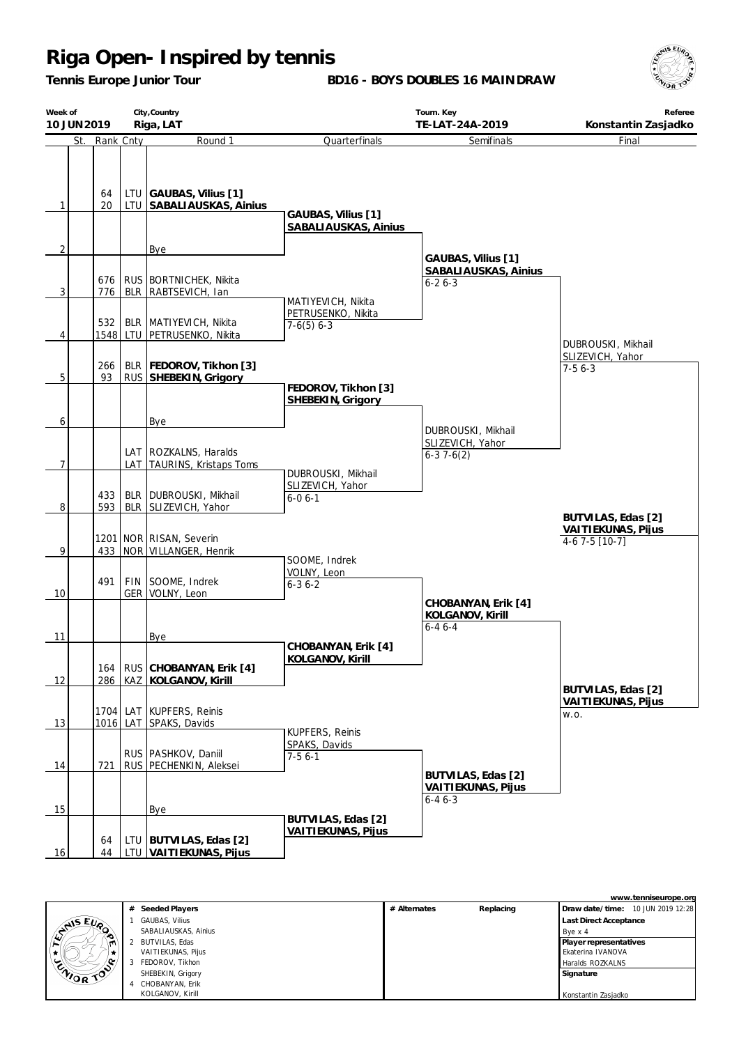*Tennis Europe Junior Tour*

**BD16 - BOYS DOUBLES 16 MAINDRAW**



| Week of<br>10 JUN 2019 | City, Country<br>Riga, LAT |     |                                                       |                                              | Tourn. Key<br>TE-LAT-24A-2019                              | Referee<br>Konstantin Zasjadko                     |  |  |
|------------------------|----------------------------|-----|-------------------------------------------------------|----------------------------------------------|------------------------------------------------------------|----------------------------------------------------|--|--|
| St.                    | Rank Cnty                  |     | Round 1                                               | Quarterfinals                                | Semifinals                                                 | Final                                              |  |  |
| $\mathbf{1}$           | 64<br>20                   |     | LTU GAUBAS, Vilius [1]<br>LTU SABALIAUSKAS, Ainius    | GAUBAS, Vilius [1]<br>SABALIAUSKAS, Ainius   |                                                            |                                                    |  |  |
| $\overline{2}$         |                            |     | Bye                                                   |                                              |                                                            |                                                    |  |  |
| $\overline{3}$         | 676<br>776                 |     | RUS   BORTNICHEK, Nikita<br>BLR   RABTSEVICH, Ian     | MATIYEVICH, Nikita                           | GAUBAS, Vilius [1]<br>SABALIAUSKAS, Ainius<br>$6 - 26 - 3$ |                                                    |  |  |
|                        | 532                        |     | BLR   MATIYEVICH, Nikita                              | PETRUSENKO, Nikita                           |                                                            |                                                    |  |  |
| 4                      |                            |     | 1548 LTU PETRUSENKO, Nikita                           | $7-6(5)$ 6-3                                 |                                                            |                                                    |  |  |
| 5 <sup>1</sup>         | 266<br>93                  |     | BLR   FEDOROV, Tikhon [3]<br>RUS SHEBEKIN, Grigory    |                                              |                                                            | DUBROUSKI, Mikhail<br>SLIZEVICH, Yahor<br>$7-56-3$ |  |  |
|                        |                            |     |                                                       | FEDOROV, Tikhon [3]<br>SHEBEKIN, Grigory     |                                                            |                                                    |  |  |
| 6                      |                            |     | Bye                                                   |                                              | DUBROUSKI, Mikhail                                         |                                                    |  |  |
| 7                      |                            |     | LAT   ROZKALNS, Haralds<br>LAT TAURINS, Kristaps Toms | DUBROUSKI, Mikhail                           | SLIZEVICH, Yahor<br>$6-37-6(2)$                            |                                                    |  |  |
| 8                      | 433<br>593                 |     | BLR   DUBROUSKI, Mikhail<br>BLR SLIZEVICH, Yahor      | SLIZEVICH, Yahor<br>$6 - 06 - 1$             |                                                            | BUTVILAS, Edas [2]                                 |  |  |
| 9                      | 433                        |     | 1201 NOR RISAN, Severin<br>NOR VILLANGER, Henrik      |                                              |                                                            | VAITIEKUNAS, Pijus<br>$4-67-5$ [10-7]              |  |  |
| 10                     | 491                        |     | FIN SOOME, Indrek<br>GER   VOLNY, Leon                | SOOME, Indrek<br>VOLNY, Leon<br>$6 - 36 - 2$ |                                                            |                                                    |  |  |
| 11                     |                            |     | Bye                                                   | CHOBANYAN, Erik [4]                          | CHOBANYAN, Erik [4]<br>KOLGANOV, Kirill<br>$6 - 46 - 4$    |                                                    |  |  |
| 12                     | 164<br>286                 |     | RUS CHOBANYAN, Erik [4]<br>KAZ KOLGANOV, Kirill       | KOLGANOV, Kirill                             |                                                            | BUTVILAS, Edas [2]                                 |  |  |
| 13                     | 1016                       | LAT | 1704 LAT KUPFERS, Reinis<br>SPAKS, Davids             |                                              |                                                            | VAITIEKUNAS, Pijus<br>W.O.                         |  |  |
| 14                     | 721                        |     | RUS   PASHKOV, Daniil<br>RUS PECHENKIN, Aleksei       | KUPFERS, Reinis<br>SPAKS, Davids<br>$7-56-1$ |                                                            |                                                    |  |  |
| 15                     |                            |     | Bye                                                   |                                              | BUTVILAS, Edas [2]<br>VAITIEKUNAS, Pijus<br>$6 - 46 - 3$   |                                                    |  |  |
| 16                     | 64<br>44                   |     | LTU BUTVILAS, Edas [2]<br>LTU VAITIEKUNAS, Pijus      | BUTVILAS, Edas [2]<br>VAITIEKUNAS, Pijus     |                                                            |                                                    |  |  |

|           |   |                       |              |           | www.tenniseurope.org              |
|-----------|---|-----------------------|--------------|-----------|-----------------------------------|
|           |   | # Seeded Players      | # Alternates | Replacing | Draw date/time: 10 JUN 2019 12:28 |
|           |   | <b>GAUBAS, Vilius</b> |              |           | <b>Last Direct Acceptance</b>     |
| LANS EURO |   | SABALIAUSKAS, Ainius  |              |           | Bye x 4                           |
| m         |   | BUTVILAS, Edas        |              |           | Player representatives            |
|           |   | VAITIEKUNAS, Pijus    |              |           | Ekaterina IVANOVA                 |
| ENIOR TOP | 3 | FEDOROV, Tikhon       |              |           | Haralds ROZKALNS                  |
|           |   | SHEBEKIN, Grigory     |              |           | Signature                         |
|           | 4 | CHOBANYAN, Erik       |              |           |                                   |
|           |   | KOLGANOV, Kirill      |              |           | Konstantin Zasjadko               |